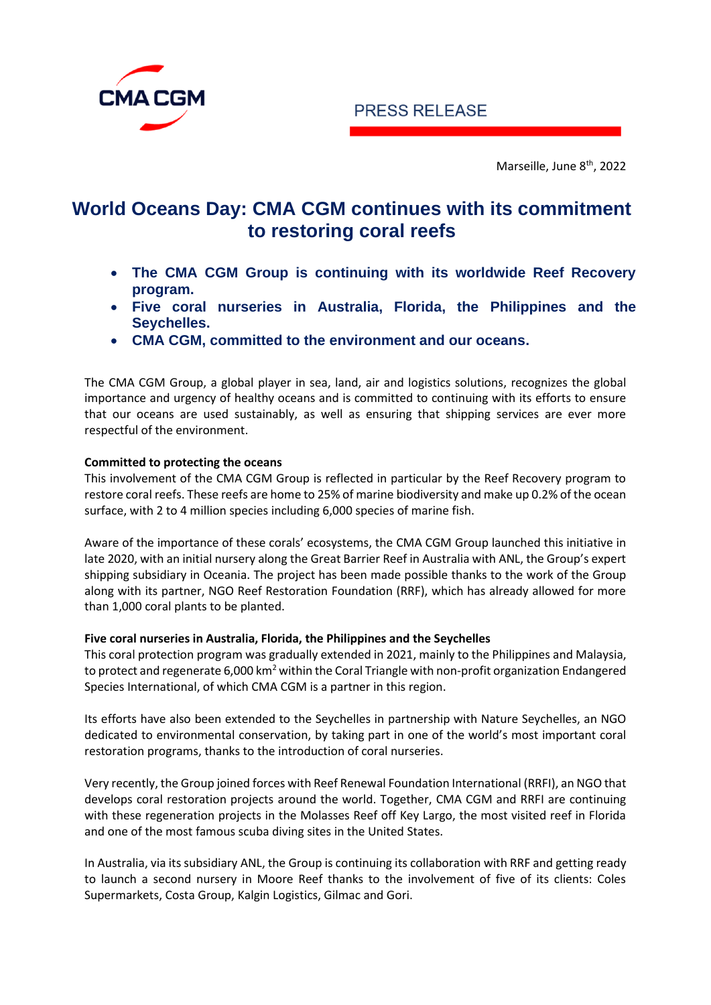



Marseille, June 8<sup>th</sup>, 2022

# **World Oceans Day: CMA CGM continues with its commitment to restoring coral reefs**

- **The CMA CGM Group is continuing with its worldwide Reef Recovery program.**
- **Five coral nurseries in Australia, Florida, the Philippines and the Seychelles.**
- **CMA CGM, committed to the environment and our oceans.**

The CMA CGM Group, a global player in sea, land, air and logistics solutions, recognizes the global importance and urgency of healthy oceans and is committed to continuing with its efforts to ensure that our oceans are used sustainably, as well as ensuring that shipping services are ever more respectful of the environment.

## **Committed to protecting the oceans**

This involvement of the CMA CGM Group is reflected in particular by the Reef Recovery program to restore coral reefs. These reefs are home to 25% of marine biodiversity and make up 0.2% of the ocean surface, with 2 to 4 million species including 6,000 species of marine fish.

Aware of the importance of these corals' ecosystems, the CMA CGM Group launched this initiative in late 2020, with an initial nursery along the Great Barrier Reef in Australia with ANL, the Group's expert shipping subsidiary in Oceania. The project has been made possible thanks to the work of the Group along with its partner, NGO Reef Restoration Foundation (RRF), which has already allowed for more than 1,000 coral plants to be planted.

## **Five coral nurseries in Australia, Florida, the Philippines and the Seychelles**

This coral protection program was gradually extended in 2021, mainly to the Philippines and Malaysia, to protect and regenerate 6,000 km<sup>2</sup> within the Coral Triangle with non-profit organization Endangered Species International, of which CMA CGM is a partner in this region.

Its efforts have also been extended to the Seychelles in partnership with Nature Seychelles, an NGO dedicated to environmental conservation, by taking part in one of the world's most important coral restoration programs, thanks to the introduction of coral nurseries.

Very recently, the Group joined forces with Reef Renewal Foundation International (RRFI), an NGO that develops coral restoration projects around the world. Together, CMA CGM and RRFI are continuing with these regeneration projects in the Molasses Reef off Key Largo, the most visited reef in Florida and one of the most famous scuba diving sites in the United States.

In Australia, via its subsidiary ANL, the Group is continuing its collaboration with RRF and getting ready to launch a second nursery in Moore Reef thanks to the involvement of five of its clients: Coles Supermarkets, Costa Group, Kalgin Logistics, Gilmac and Gori.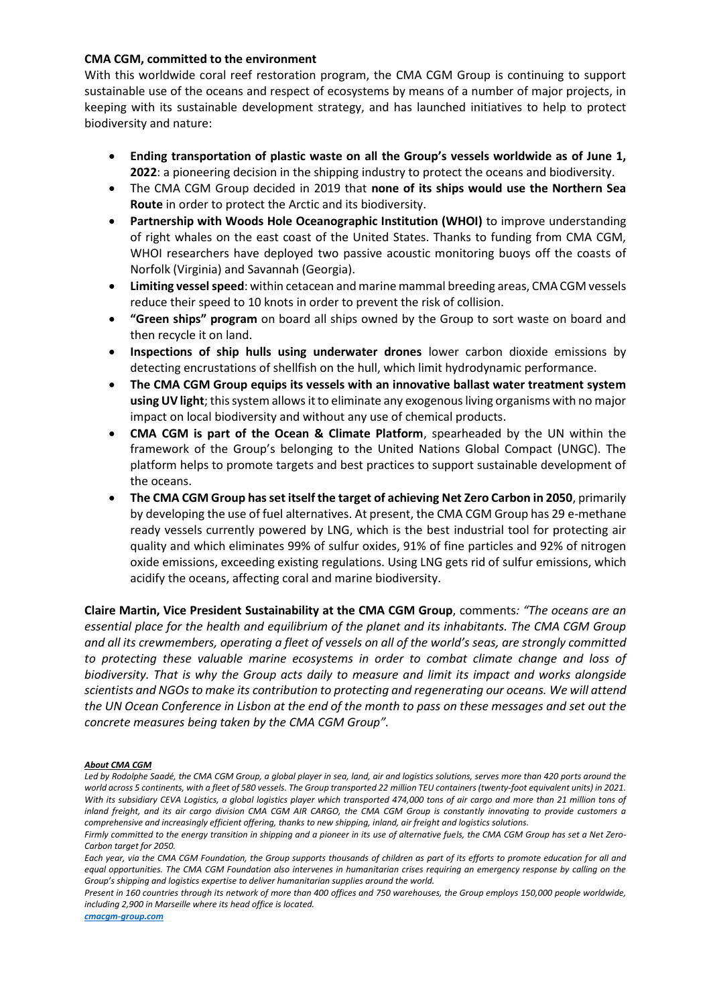#### **CMA CGM, committed to the environment**

With this worldwide coral reef restoration program, the CMA CGM Group is continuing to support sustainable use of the oceans and respect of ecosystems by means of a number of major projects, in keeping with its sustainable development strategy, and has launched initiatives to help to protect biodiversity and nature:

- **Ending transportation of plastic waste on all the Group's vessels worldwide as of June 1, 2022**: a pioneering decision in the shipping industry to protect the oceans and biodiversity.
- The CMA CGM Group decided in 2019 that **none of its ships would use the Northern Sea Route** in order to protect the Arctic and its biodiversity.
- **Partnership with Woods Hole Oceanographic Institution (WHOI)** to improve understanding of right whales on the east coast of the United States. Thanks to funding from CMA CGM, WHOI researchers have deployed two passive acoustic monitoring buoys off the coasts of Norfolk (Virginia) and Savannah (Georgia).
- **Limiting vesselspeed**: within cetacean and marine mammal breeding areas, CMA CGM vessels reduce their speed to 10 knots in order to prevent the risk of collision.
- **"Green ships" program** on board all ships owned by the Group to sort waste on board and then recycle it on land.
- **Inspections of ship hulls using underwater drones** lower carbon dioxide emissions by detecting encrustations of shellfish on the hull, which limit hydrodynamic performance.
- **The CMA CGM Group equips its vessels with an innovative ballast water treatment system using UV light**; this system allows it to eliminate any exogenous living organisms with no major impact on local biodiversity and without any use of chemical products.
- **CMA CGM is part of the Ocean & Climate Platform**, spearheaded by the UN within the framework of the Group's belonging to the United Nations Global Compact (UNGC). The platform helps to promote targets and best practices to support sustainable development of the oceans.
- **The CMA CGM Group has set itself the target of achieving Net Zero Carbon in 2050**, primarily by developing the use of fuel alternatives. At present, the CMA CGM Group has 29 e-methane ready vessels currently powered by LNG, which is the best industrial tool for protecting air quality and which eliminates 99% of sulfur oxides, 91% of fine particles and 92% of nitrogen oxide emissions, exceeding existing regulations. Using LNG gets rid of sulfur emissions, which acidify the oceans, affecting coral and marine biodiversity.

**Claire Martin, Vice President Sustainability at the CMA CGM Group**, comments*: "The oceans are an essential place for the health and equilibrium of the planet and its inhabitants. The CMA CGM Group and all its crewmembers, operating a fleet of vessels on all of the world's seas, are strongly committed to protecting these valuable marine ecosystems in order to combat climate change and loss of biodiversity. That is why the Group acts daily to measure and limit its impact and works alongside scientists and NGOs to make its contribution to protecting and regenerating our oceans. We will attend the UN Ocean Conference in Lisbon at the end of the month to pass on these messages and set out the concrete measures being taken by the CMA CGM Group".*

#### *About CMA CGM*

*Led by Rodolphe Saadé, the CMA CGM Group, a global player in sea, land, air and logistics solutions, serves more than 420 ports around the world across 5 continents, with a fleet of 580 vessels. The Group transported 22 million TEU containers (twenty-foot equivalent units) in 2021. With its subsidiary CEVA Logistics, a global logistics player which transported 474,000 tons of air cargo and more than 21 million tons of inland freight, and its air cargo division CMA CGM AIR CARGO, the CMA CGM Group is constantly innovating to provide customers a comprehensive and increasingly efficient offering, thanks to new shipping, inland, air freight and logistics solutions.* 

*Each year, via the CMA CGM Foundation, the Group supports thousands of children as part of its efforts to promote education for all and equal opportunities. The CMA CGM Foundation also intervenes in humanitarian crises requiring an emergency response by calling on the Group's shipping and logistics expertise to deliver humanitarian supplies around the world.* 

*Present in 160 countries through its network of more than 400 offices and 750 warehouses, the Group employs 150,000 people worldwide, including 2,900 in Marseille where its head office is located.*

*[cmacgm-group.com](http://www.cmacgm-group.com/)*

*Firmly committed to the energy transition in shipping and a pioneer in its use of alternative fuels, the CMA CGM Group has set a Net Zero-Carbon target for 2050.*